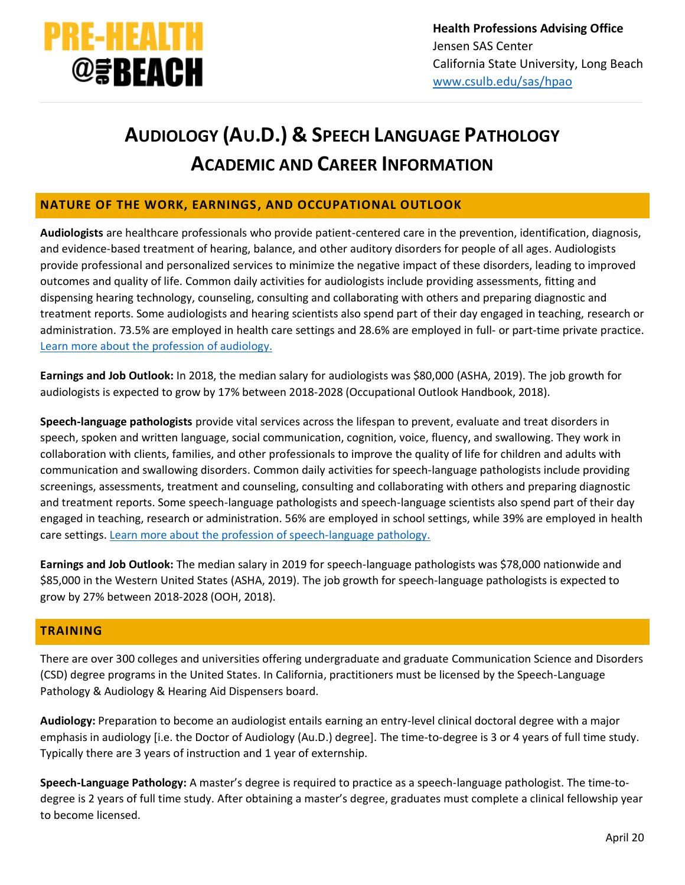

# **AUDIOLOGY (AU.D.) & SPEECH LANGUAGE PATHOLOGY ACADEMIC AND CAREER INFORMATION**

# **NATURE OF THE WORK, EARNINGS, AND OCCUPATIONAL OUTLOOK**

**Audiologists** are healthcare professionals who provide patient-centered care in the prevention, identification, diagnosis, and evidence-based treatment of hearing, balance, and other auditory disorders for people of all ages. Audiologists provide professional and personalized services to minimize the negative impact of these disorders, leading to improved outcomes and quality of life. Common daily activities for audiologists include providing assessments, fitting and dispensing hearing technology, counseling, consulting and collaborating with others and preparing diagnostic and treatment reports. Some audiologists and hearing scientists also spend part of their day engaged in teaching, research or administration. 73.5% are employed in health care settings and 28.6% are employed in full- or part-time private practice. [Learn more about the profession of audiology.](http://www.asha.org/Students/Audiology/)

**Earnings and Job Outlook:** In 2018, the median salary for audiologists was \$80,000 (ASHA, 2019). The job growth for audiologists is expected to grow by 17% between 2018-2028 (Occupational Outlook Handbook, 2018).

**Speech-language pathologists** provide vital services across the lifespan to prevent, evaluate and treat disorders in speech, spoken and written language, social communication, cognition, voice, fluency, and swallowing. They work in collaboration with clients, families, and other professionals to improve the quality of life for children and adults with communication and swallowing disorders. Common daily activities for speech-language pathologists include providing screenings, assessments, treatment and counseling, consulting and collaborating with others and preparing diagnostic and treatment reports. Some speech-language pathologists and speech-language scientists also spend part of their day engaged in teaching, research or administration. 56% are employed in school settings, while 39% are employed in health care settings. [Learn more about the profession](http://www.asha.org/Students/Speech-Language-Pathology) of speech-language pathology.

**Earnings and Job Outlook:** The median salary in 2019 for speech-language pathologists was \$78,000 nationwide and \$85,000 in the Western United States (ASHA, 2019). The job growth for speech-language pathologists is expected to grow by 27% between 2018-2028 (OOH, 2018).

# **TRAINING**

There are over 300 colleges and universities offering undergraduate and graduate Communication Science and Disorders (CSD) degree programs in the United States. In California, practitioners must be licensed by the Speech-Language Pathology & Audiology & Hearing Aid Dispensers board.

**Audiology:** Preparation to become an audiologist entails earning an entry-level clinical doctoral degree with a major emphasis in audiology [i.e. the Doctor of Audiology (Au.D.) degree]. The time-to-degree is 3 or 4 years of full time study. Typically there are 3 years of instruction and 1 year of externship.

**Speech-Language Pathology:** A master's degree is required to practice as a speech-language pathologist. The time-todegree is 2 years of full time study. After obtaining a master's degree, graduates must complete a clinical fellowship year to become licensed.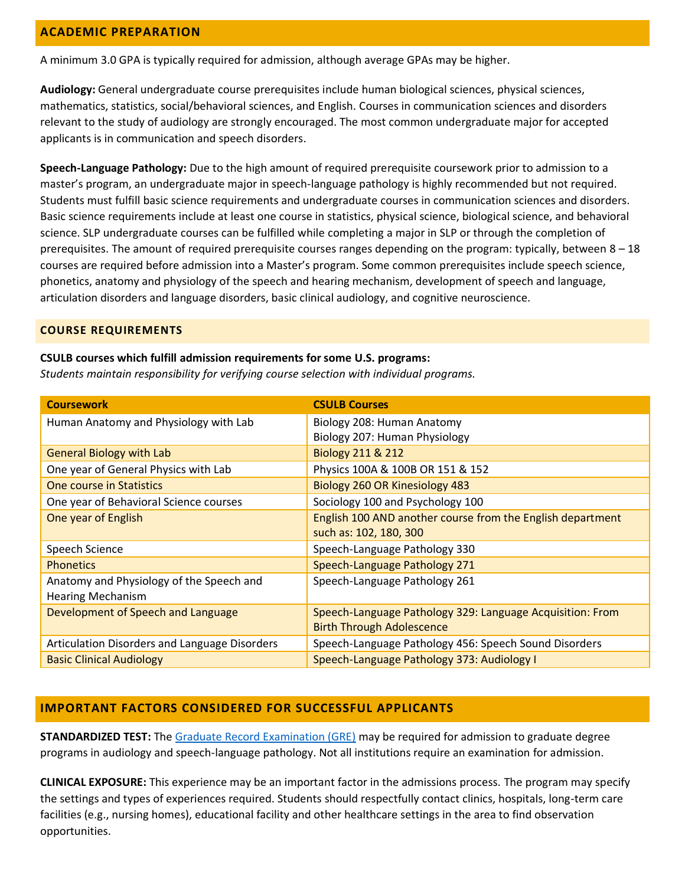### **ACADEMIC PREPARATION**

A minimum 3.0 GPA is typically required for admission, although average GPAs may be higher.

**Audiology:** General undergraduate course prerequisites include human biological sciences, physical sciences, mathematics, statistics, social/behavioral sciences, and English. Courses in communication sciences and disorders relevant to the study of audiology are strongly encouraged. The most common undergraduate major for accepted applicants is in communication and speech disorders.

**Speech-Language Pathology:** Due to the high amount of required prerequisite coursework prior to admission to a master's program, an undergraduate major in speech-language pathology is highly recommended but not required. Students must fulfill basic science requirements and undergraduate courses in communication sciences and disorders. Basic science requirements include at least one course in statistics, physical science, biological science, and behavioral science. SLP undergraduate courses can be fulfilled while completing a major in SLP or through the completion of prerequisites. The amount of required prerequisite courses ranges depending on the program: typically, between 8 – 18 courses are required before admission into a Master's program. Some common prerequisites include speech science, phonetics, anatomy and physiology of the speech and hearing mechanism, development of speech and language, articulation disorders and language disorders, basic clinical audiology, and cognitive neuroscience.

#### **COURSE REQUIREMENTS**

#### **CSULB courses which fulfill admission requirements for some U.S. programs:**

*Students maintain responsibility for verifying course selection with individual programs.*

| <b>Coursework</b>                             | <b>CSULB Courses</b>                                       |
|-----------------------------------------------|------------------------------------------------------------|
| Human Anatomy and Physiology with Lab         | Biology 208: Human Anatomy                                 |
|                                               | Biology 207: Human Physiology                              |
| <b>General Biology with Lab</b>               | <b>Biology 211 &amp; 212</b>                               |
| One year of General Physics with Lab          | Physics 100A & 100B OR 151 & 152                           |
| <b>One course in Statistics</b>               | Biology 260 OR Kinesiology 483                             |
| One year of Behavioral Science courses        | Sociology 100 and Psychology 100                           |
| One year of English                           | English 100 AND another course from the English department |
|                                               | such as: 102, 180, 300                                     |
| Speech Science                                | Speech-Language Pathology 330                              |
| <b>Phonetics</b>                              | Speech-Language Pathology 271                              |
| Anatomy and Physiology of the Speech and      | Speech-Language Pathology 261                              |
| <b>Hearing Mechanism</b>                      |                                                            |
| Development of Speech and Language            | Speech-Language Pathology 329: Language Acquisition: From  |
|                                               | <b>Birth Through Adolescence</b>                           |
| Articulation Disorders and Language Disorders | Speech-Language Pathology 456: Speech Sound Disorders      |
| <b>Basic Clinical Audiology</b>               | Speech-Language Pathology 373: Audiology I                 |

#### **IMPORTANT FACTORS CONSIDERED FOR SUCCESSFUL APPLICANTS**

**STANDARDIZED TEST:** The [Graduate Record Examination \(GRE\)](http://www.gre.org/) may be required for admission to graduate degree programs in audiology and speech-language pathology. Not all institutions require an examination for admission.

**CLINICAL EXPOSURE:** This experience may be an important factor in the admissions process. The program may specify the settings and types of experiences required. Students should respectfully contact clinics, hospitals, long-term care facilities (e.g., nursing homes), educational facility and other healthcare settings in the area to find observation opportunities.